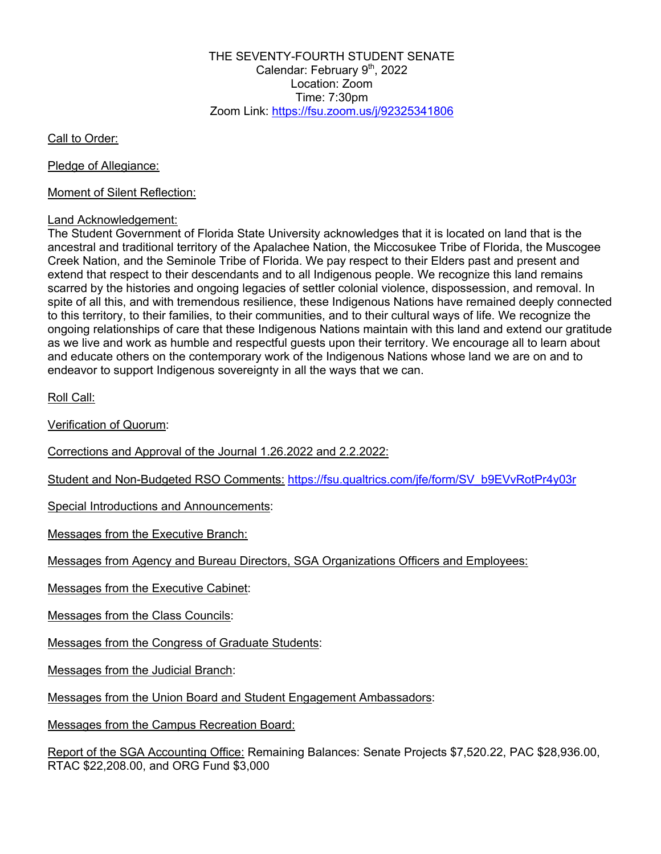THE SEVENTY-FOURTH STUDENT SENATE Calendar: February 9<sup>th</sup>, 2022 Location: Zoom Time: 7:30pm Zoom Link: https://fsu.zoom.us/j/92325341806

Call to Order:

Pledge of Allegiance:

Moment of Silent Reflection:

## Land Acknowledgement:

The Student Government of Florida State University acknowledges that it is located on land that is the ancestral and traditional territory of the Apalachee Nation, the Miccosukee Tribe of Florida, the Muscogee Creek Nation, and the Seminole Tribe of Florida. We pay respect to their Elders past and present and extend that respect to their descendants and to all Indigenous people. We recognize this land remains scarred by the histories and ongoing legacies of settler colonial violence, dispossession, and removal. In spite of all this, and with tremendous resilience, these Indigenous Nations have remained deeply connected to this territory, to their families, to their communities, and to their cultural ways of life. We recognize the ongoing relationships of care that these Indigenous Nations maintain with this land and extend our gratitude as we live and work as humble and respectful guests upon their territory. We encourage all to learn about and educate others on the contemporary work of the Indigenous Nations whose land we are on and to endeavor to support Indigenous sovereignty in all the ways that we can.

Roll Call:

Verification of Quorum:

Corrections and Approval of the Journal 1.26.2022 and 2.2.2022:

Student and Non-Budgeted RSO Comments: https://fsu.qualtrics.com/jfe/form/SV\_b9EVvRotPr4y03r

Special Introductions and Announcements:

Messages from the Executive Branch:

Messages from Agency and Bureau Directors, SGA Organizations Officers and Employees:

Messages from the Executive Cabinet:

Messages from the Class Councils:

Messages from the Congress of Graduate Students:

Messages from the Judicial Branch:

Messages from the Union Board and Student Engagement Ambassadors:

Messages from the Campus Recreation Board:

Report of the SGA Accounting Office: Remaining Balances: Senate Projects \$7,520.22, PAC \$28,936.00, RTAC \$22,208.00, and ORG Fund \$3,000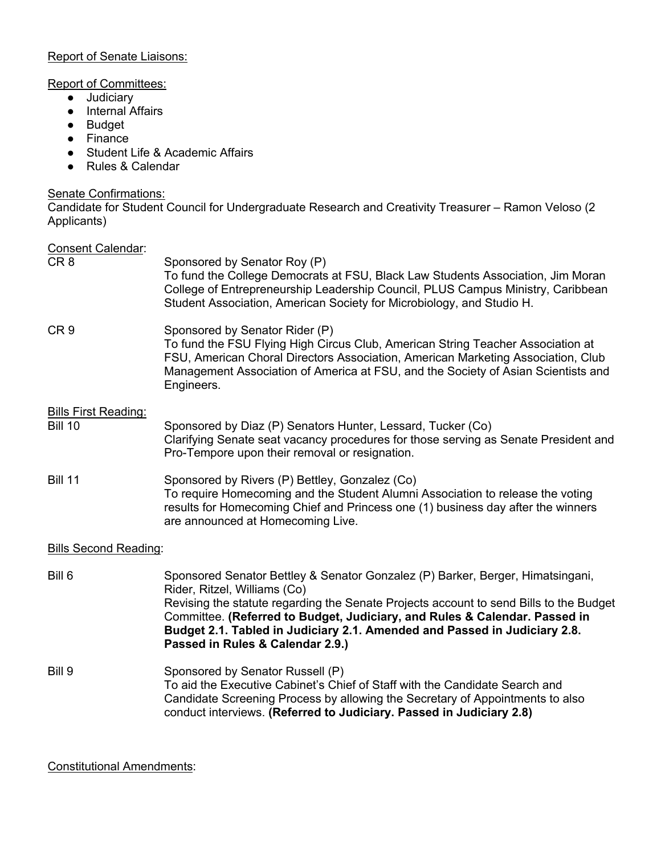## Report of Senate Liaisons:

## Report of Committees:

- Judiciary
- Internal Affairs
- Budget
- Finance
- Student Life & Academic Affairs
- Rules & Calendar

## Senate Confirmations:

Candidate for Student Council for Undergraduate Research and Creativity Treasurer – Ramon Veloso (2 Applicants)

| <b>Consent Calendar:</b><br>CR <sub>8</sub>   | Sponsored by Senator Roy (P)<br>To fund the College Democrats at FSU, Black Law Students Association, Jim Moran<br>College of Entrepreneurship Leadership Council, PLUS Campus Ministry, Caribbean<br>Student Association, American Society for Microbiology, and Studio H.                                                                                                                             |
|-----------------------------------------------|---------------------------------------------------------------------------------------------------------------------------------------------------------------------------------------------------------------------------------------------------------------------------------------------------------------------------------------------------------------------------------------------------------|
| CR <sub>9</sub>                               | Sponsored by Senator Rider (P)<br>To fund the FSU Flying High Circus Club, American String Teacher Association at<br>FSU, American Choral Directors Association, American Marketing Association, Club<br>Management Association of America at FSU, and the Society of Asian Scientists and<br>Engineers.                                                                                                |
| <b>Bills First Reading:</b><br><b>Bill 10</b> | Sponsored by Diaz (P) Senators Hunter, Lessard, Tucker (Co)<br>Clarifying Senate seat vacancy procedures for those serving as Senate President and<br>Pro-Tempore upon their removal or resignation.                                                                                                                                                                                                    |
| <b>Bill 11</b>                                | Sponsored by Rivers (P) Bettley, Gonzalez (Co)<br>To require Homecoming and the Student Alumni Association to release the voting<br>results for Homecoming Chief and Princess one (1) business day after the winners<br>are announced at Homecoming Live.                                                                                                                                               |
| <b>Bills Second Reading:</b>                  |                                                                                                                                                                                                                                                                                                                                                                                                         |
| Bill 6                                        | Sponsored Senator Bettley & Senator Gonzalez (P) Barker, Berger, Himatsingani,<br>Rider, Ritzel, Williams (Co)<br>Revising the statute regarding the Senate Projects account to send Bills to the Budget<br>Committee. (Referred to Budget, Judiciary, and Rules & Calendar. Passed in<br>Budget 2.1. Tabled in Judiciary 2.1. Amended and Passed in Judiciary 2.8.<br>Passed in Rules & Calendar 2.9.) |
| Bill 9                                        | Sponsored by Senator Russell (P)<br>To aid the Executive Cabinet's Chief of Staff with the Candidate Search and<br>Candidate Screening Process by allowing the Secretary of Appointments to also<br>conduct interviews. (Referred to Judiciary. Passed in Judiciary 2.8)                                                                                                                                |

Constitutional Amendments: